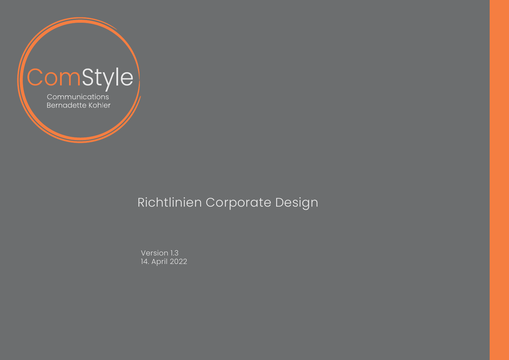

Version 1.3 14. April 2022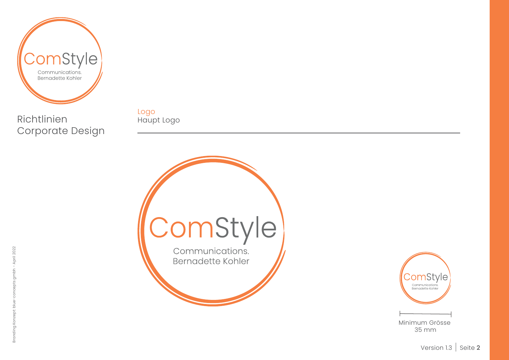

Logo Haupt Logo





35 mm

Minimum Grösse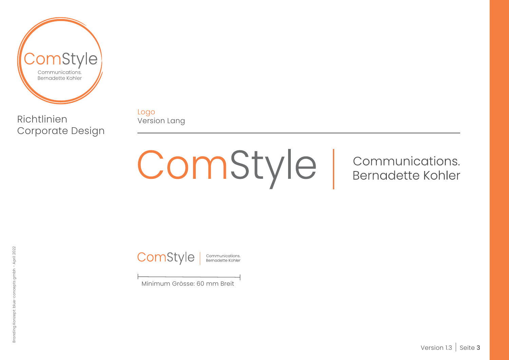

Logo Version Lang

ComStyle |

Communications. **Bernadette Kohler** 

ComStyle |

Communications.<br>Bernadette Kohler

Minimum Grösse: 60 mm Breit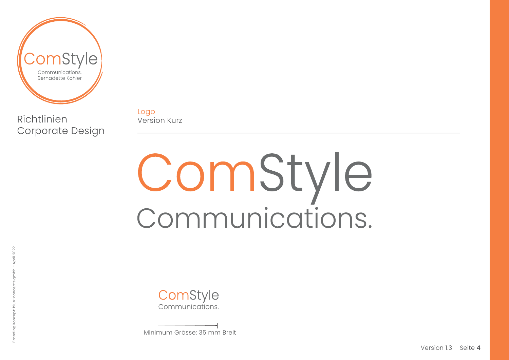

Logo Version Kurz

# ComStyle<br>Communications.

ComStyle Communications.

Minimum Grösse: 35 mm Breit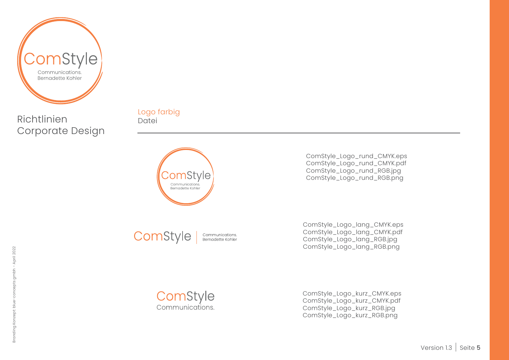

Logo farbig Datei



ComStyle Communications.<br>Bernadette Kohler ComStyle\_Logo\_rund\_CMYK.eps ComStyle\_Logo\_rund\_CMYK.pdf ComStyle\_Logo\_rund\_RGB.jpg ComStyle\_Logo\_rund\_RGB.png

ComStyle\_Logo\_lang\_CMYK.eps ComStyle\_Logo\_lang\_CMYK.pdf ComStyle\_Logo\_lang\_RGB.jpg ComStyle\_Logo\_lang\_RGB.png

ComStyle Communications.

ComStyle\_Logo\_kurz\_CMYK.eps ComStyle\_Logo\_kurz\_CMYK.pdf ComStyle\_Logo\_kurz\_RGB.jpg ComStyle\_Logo\_kurz\_RGB.png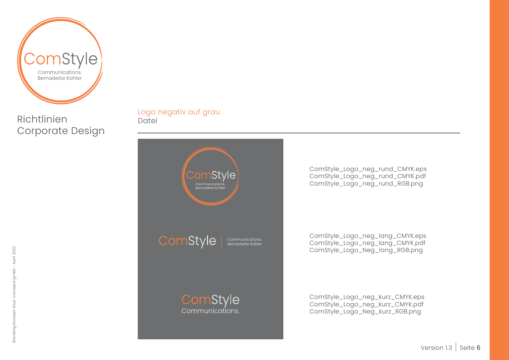

Logo negativ auf grau Datei



ComStyle\_Logo\_neg\_rund\_CMYK.eps ComStyle\_Logo\_neg\_rund\_CMYK.pdf ComStyle\_Logo\_neg\_rund\_RGB.png

ComStyle\_Logo\_neg\_lang\_CMYK.eps ComStyle\_Logo\_neg\_lang\_CMYK.pdf ComStyle\_Logo\_Neg\_lang\_RGB.png

ComStyle\_Logo\_neg\_kurz\_CMYK.eps ComStyle\_Logo\_neg\_kurz\_CMYK.pdf ComStyle\_Logo\_Neg\_kurz\_RGB.png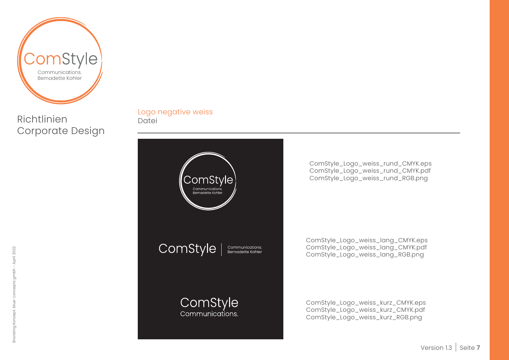

Logo negative weiss Datei



ComStyle\_Logo\_weiss\_rund\_CMYK.eps ComStyle\_Logo\_weiss\_rund\_CMYK.pdf ComStyle\_Logo\_weiss\_rund\_RGB.png

ComStyle\_Logo\_weiss\_lang\_CMYK.eps ComStyle\_Logo\_weiss\_lang\_CMYK.pdf ComStyle\_Logo\_weiss\_lang\_RGB.png

ComStyle\_Logo\_weiss\_kurz\_CMYK.eps ComStyle\_Logo\_weiss\_kurz\_CMYK.pdf ComStyle\_Logo\_weiss\_kurz\_RGB.png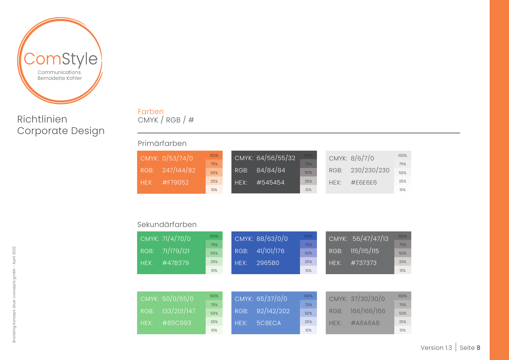

#### Farben CMYK / RGB / #

#### Primärfarben

|      | CMYK: 0/53/74/0 | 100% |      | CMYK: 64/56/55/32 | $100\%$ |      | CMYK: 8/6/7/0 | 100% |
|------|-----------------|------|------|-------------------|---------|------|---------------|------|
|      |                 | 75%  |      |                   | 75%     |      |               | 75%  |
| RGB: | 247/144/82      | 50%  | RGB: | 84/84/84          | 50%     | RGB: | 230/230/230   | 50%  |
| HFX: | #F79052         | 25%  | HFX: | #545454           | 25%     | HEX: | #F6F6F6       | 25%  |
|      |                 | 10%  |      |                   | 10%     |      |               | 10%  |

#### Sekundärfarben

| RGB:<br>HEX: | CMYK: 71/4/70/0<br>71/179/121<br>#47B379  | 100%<br>75%<br>50%<br>25%<br>10% | RGB:<br>HEX: | CMYK: 88/63/0/0<br>41/101/176<br>2965B0 | 100%<br>75%<br>50%<br>25%<br>10% | RGB:<br>HEX: | CMYK: 56/47/47/13<br>115/115/115<br>#737373   | 100%<br>75%<br>50%<br>25%<br>10% |
|--------------|-------------------------------------------|----------------------------------|--------------|-----------------------------------------|----------------------------------|--------------|-----------------------------------------------|----------------------------------|
| RGB:<br>HEX: | CMYK: 50/0/55/0<br>133/201/147<br>#85C993 | 100%<br>75%<br>50%<br>25%        | RGB:<br>HEX: | CMYK: 65/37/0/0<br>92/142/202<br>5C8ECA | 100%<br>75%<br>50%<br>25%        | RGB:<br>HFX: | CMYK: 37/30/30/0<br>166/166/166<br>$\#A6A6A6$ | 100%<br>75%<br>50%<br>25%        |
|              |                                           | 10%                              |              |                                         | 10%                              |              |                                               | 10%                              |

## Branding Konzept: blue-concepts gmbh - April 2022 Branding Konzept: blue-concepts gmbh - April 2022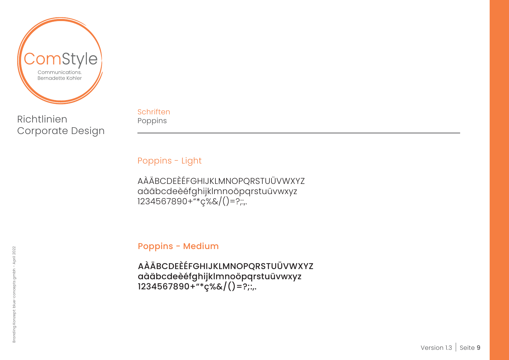

**Schriften** Poppins

Poppins - Light

AÀÄBCDEÈÉFGHIJKLMNOPQRSTUÜVWXYZ aàäbcdeèéfghijklmnoöpqrstuüvwxyz 1234567890+"\*ç%&/()=?;:,.

Poppins - Medium

AÀÄBCDEÈÉFGHIJKLMNOPQRSTUÜVWXYZ aàäbcdeèéfghijklmnoöpqrstuüvwxyz 1234567890+"\*ç%&/()=?;:,.